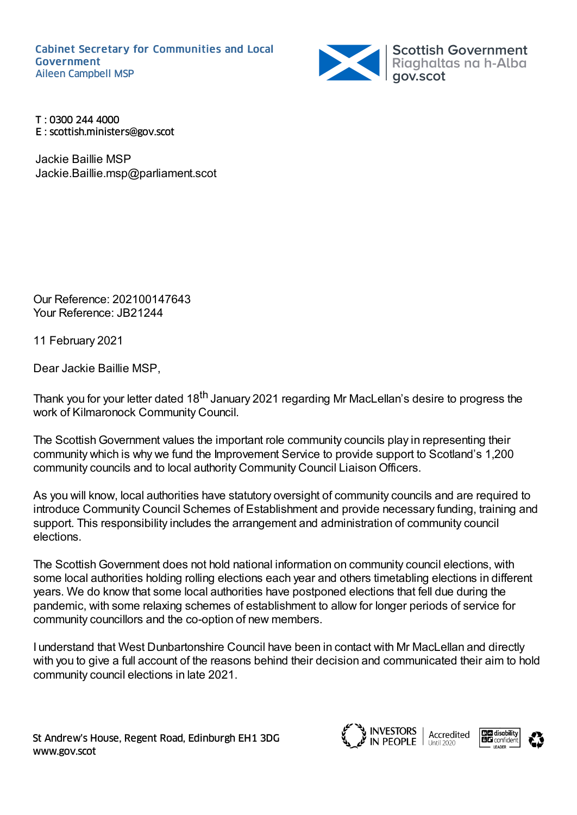

T : 0300 244 4000 E : scottish.ministers@gov.scot

Jackie Baillie MSP Jackie.Baillie.msp@parliament.scot

Our Reference: 202100147643 Your Reference: JB21244

11 February 2021

Dear Jackie Baillie MSP,

Thank you for your letter dated 18<sup>th</sup> January 2021 regarding Mr MacLellan's desire to progress the work of Kilmaronock Community Council.

The Scottish Government values the important role community councils play in representing their community which is why we fund the Improvement Service to provide support to Scotland's 1,200 community councils and to local authority Community Council LiaisonOfficers.

As you will know, local authorities have statutory oversight of community councils and are required to introduce Community Council Schemes of Establishment and provide necessary funding, training and support. This responsibility includes the arrangement and administration of community council elections.

The ScottishGovernment does not hold national information on community council elections, with some local authorities holding rolling elections each year and others timetabling elections in different years. We do know that some local authorities have postponed elections that fell due during the pandemic, with some relaxing schemes of establishment to allow for longer periods of service for community councillors and the co-option of new members.

I understand that West Dunbartonshire Council have been in contact with Mr MacLellan and directly with you to give a full account of the reasons behind their decision and communicated their aim to hold community council elections in late 2021.